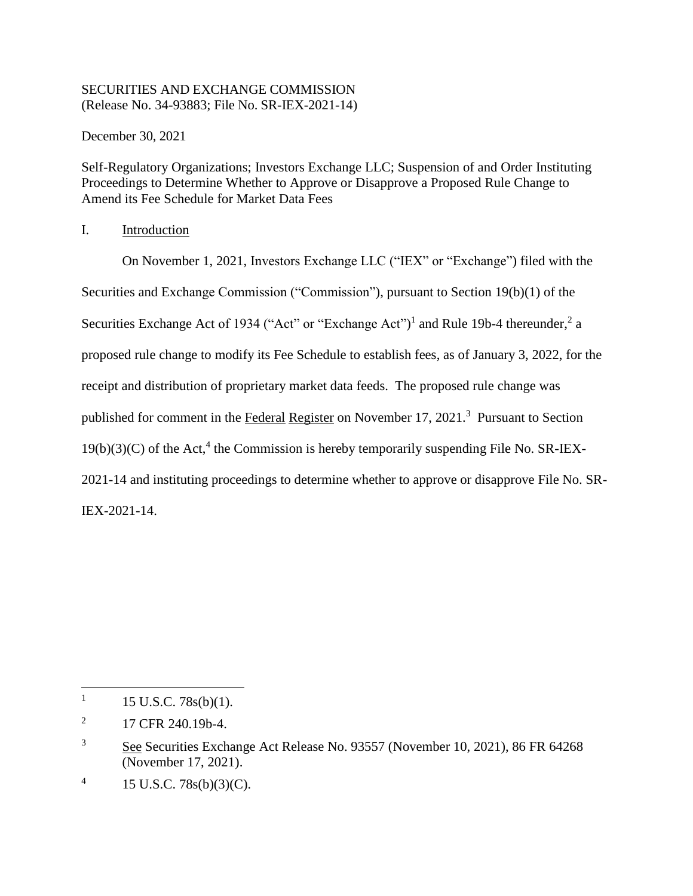## SECURITIES AND EXCHANGE COMMISSION (Release No. 34-93883; File No. SR-IEX-2021-14)

December 30, 2021

Self-Regulatory Organizations; Investors Exchange LLC; Suspension of and Order Instituting Proceedings to Determine Whether to Approve or Disapprove a Proposed Rule Change to Amend its Fee Schedule for Market Data Fees

I. Introduction

<span id="page-0-0"></span>On November 1, 2021, Investors Exchange LLC ("IEX" or "Exchange") filed with the Securities and Exchange Commission ("Commission"), pursuant to Section 19(b)(1) of the Securities Exchange Act of 1934 ("Act" or "Exchange Act")<sup>1</sup> and Rule 19b-4 thereunder,<sup>2</sup> a proposed rule change to modify its Fee Schedule to establish fees, as of January 3, 2022, for the receipt and distribution of proprietary market data feeds. The proposed rule change was published for comment in the Federal Register on November 17, 2021.<sup>3</sup> Pursuant to Section  $19(b)(3)(C)$  of the Act,<sup>4</sup> the Commission is hereby temporarily suspending File No. SR-IEX-2021-14 and instituting proceedings to determine whether to approve or disapprove File No. SR-IEX-2021-14.

<sup>1</sup> 15 U.S.C. 78s(b)(1).

<sup>2</sup> 17 CFR 240.19b-4.

<sup>&</sup>lt;sup>3</sup> See Securities Exchange Act Release No. 93557 (November 10, 2021), 86 FR 64268 (November 17, 2021).

<sup>4</sup> 15 U.S.C. 78s(b)(3)(C).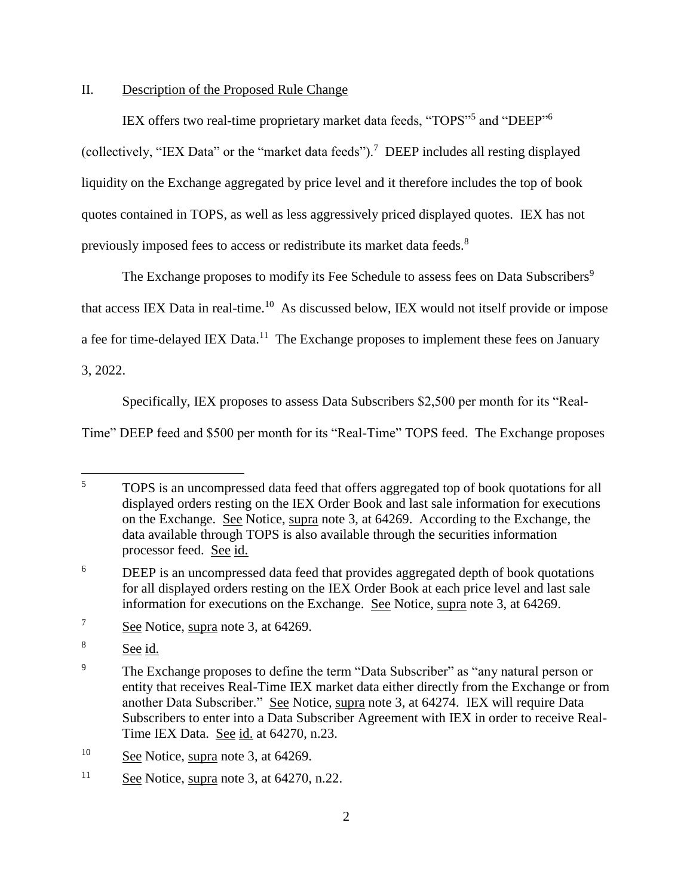## II. Description of the Proposed Rule Change

IEX offers two real-time proprietary market data feeds, "TOPS"<sup>5</sup> and "DEEP"<sup>6</sup> (collectively, "IEX Data" or the "market data feeds").<sup>7</sup> DEEP includes all resting displayed liquidity on the Exchange aggregated by price level and it therefore includes the top of book quotes contained in TOPS, as well as less aggressively priced displayed quotes. IEX has not previously imposed fees to access or redistribute its market data feeds.<sup>8</sup>

The Exchange proposes to modify its Fee Schedule to assess fees on Data Subscribers<sup>9</sup> that access IEX Data in real-time.<sup>10</sup> As discussed below, IEX would not itself provide or impose a fee for time-delayed IEX Data.<sup>11</sup> The Exchange proposes to implement these fees on January

3, 2022.

Specifically, IEX proposes to assess Data Subscribers \$2,500 per month for its "Real-

Time" DEEP feed and \$500 per month for its "Real-Time" TOPS feed. The Exchange proposes

<sup>10</sup> See Notice, supra note [3,](#page-0-0) at 64269.

<sup>5</sup> <sup>5</sup> TOPS is an uncompressed data feed that offers aggregated top of book quotations for all displayed orders resting on the IEX Order Book and last sale information for executions on the Exchange. See Notice, supra note [3,](#page-0-0) at 64269. According to the Exchange, the data available through TOPS is also available through the securities information processor feed. See id.

<sup>6</sup> DEEP is an uncompressed data feed that provides aggregated depth of book quotations for all displayed orders resting on the IEX Order Book at each price level and last sale information for executions on the Exchange. See Notice, supra note [3,](#page-0-0) at 64269.

<sup>7</sup> See Notice, supra note [3,](#page-0-0) at 64269.

<sup>8</sup> See id.

<sup>&</sup>lt;sup>9</sup> The Exchange proposes to define the term "Data Subscriber" as "any natural person or entity that receives Real-Time IEX market data either directly from the Exchange or from another Data Subscriber." See Notice, supra note [3,](#page-0-0) at 64274. IEX will require Data Subscribers to enter into a Data Subscriber Agreement with IEX in order to receive Real-Time IEX Data. See id. at 64270, n.23.

<sup>&</sup>lt;sup>11</sup> See Notice, supra note [3,](#page-0-0) at  $64270$ , n.22.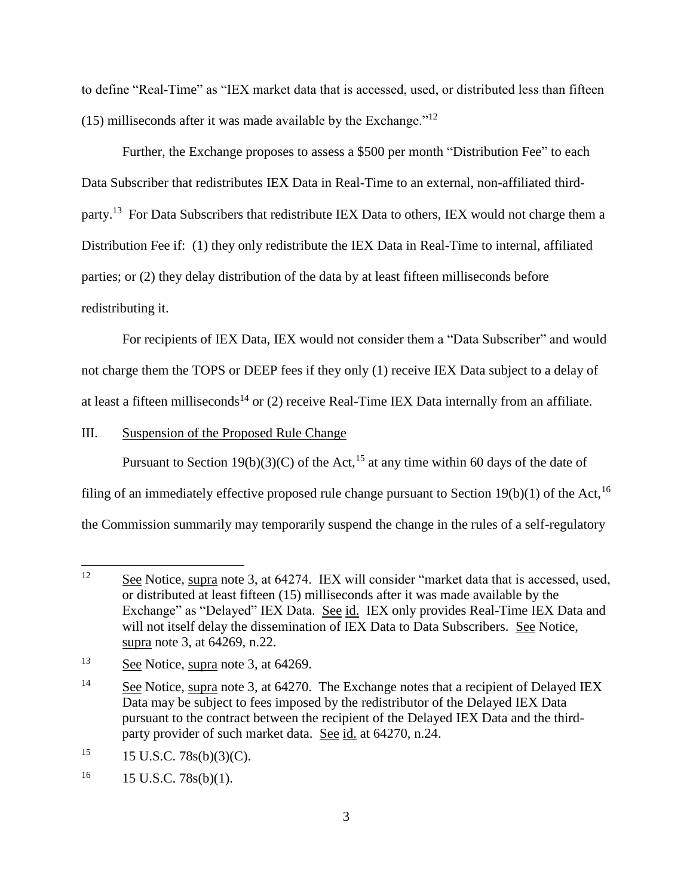to define "Real-Time" as "IEX market data that is accessed, used, or distributed less than fifteen (15) milliseconds after it was made available by the Exchange." $12$ 

Further, the Exchange proposes to assess a \$500 per month "Distribution Fee" to each Data Subscriber that redistributes IEX Data in Real-Time to an external, non-affiliated thirdparty.<sup>13</sup> For Data Subscribers that redistribute IEX Data to others, IEX would not charge them a Distribution Fee if: (1) they only redistribute the IEX Data in Real-Time to internal, affiliated parties; or (2) they delay distribution of the data by at least fifteen milliseconds before redistributing it.

For recipients of IEX Data, IEX would not consider them a "Data Subscriber" and would not charge them the TOPS or DEEP fees if they only (1) receive IEX Data subject to a delay of at least a fifteen milliseconds<sup>14</sup> or  $(2)$  receive Real-Time IEX Data internally from an affiliate.

III. Suspension of the Proposed Rule Change

Pursuant to Section 19(b)(3)(C) of the Act,<sup>15</sup> at any time within 60 days of the date of filing of an immediately effective proposed rule change pursuant to Section 19(b)(1) of the Act,<sup>16</sup> the Commission summarily may temporarily suspend the change in the rules of a self-regulatory

<sup>12</sup> See Notice, supra note [3,](#page-0-0) at 64274. IEX will consider "market data that is accessed, used, or distributed at least fifteen (15) milliseconds after it was made available by the Exchange" as "Delayed" IEX Data. See id. IEX only provides Real-Time IEX Data and will not itself delay the dissemination of IEX Data to Data Subscribers. See Notice, supra note [3,](#page-0-0) at 64269, n.22.

<sup>13</sup> See Notice, supra note [3,](#page-0-0) at 64269.

<sup>&</sup>lt;sup>14</sup> See Notice, supra note [3,](#page-0-0) at 64270. The Exchange notes that a recipient of Delayed IEX Data may be subject to fees imposed by the redistributor of the Delayed IEX Data pursuant to the contract between the recipient of the Delayed IEX Data and the thirdparty provider of such market data. See id. at 64270, n.24.

 $15 \text{ U.S.C. } 78s(b)(3)(C).$ 

 $16$  15 U.S.C. 78s(b)(1).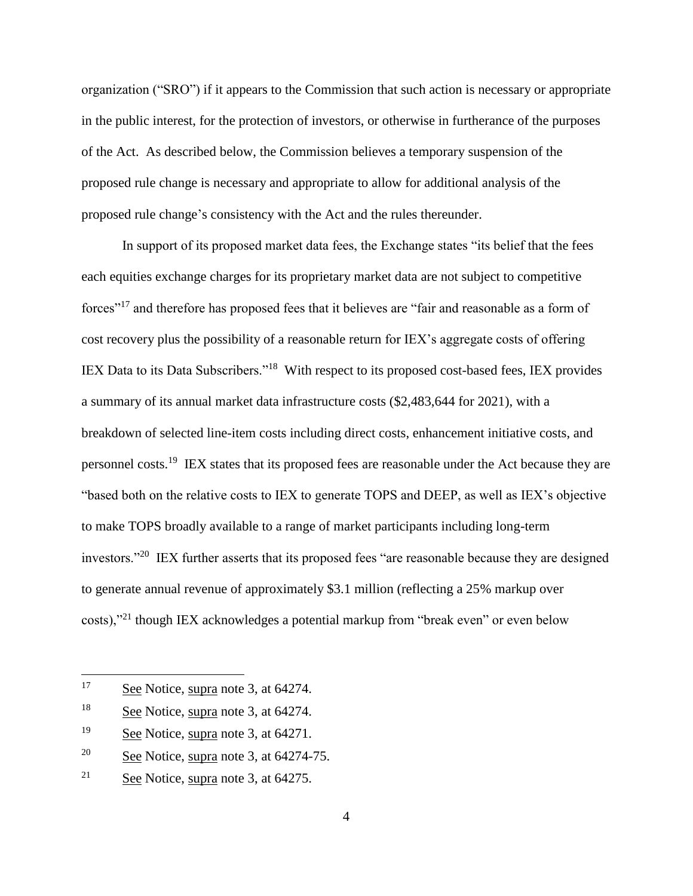organization ("SRO") if it appears to the Commission that such action is necessary or appropriate in the public interest, for the protection of investors, or otherwise in furtherance of the purposes of the Act. As described below, the Commission believes a temporary suspension of the proposed rule change is necessary and appropriate to allow for additional analysis of the proposed rule change's consistency with the Act and the rules thereunder.

In support of its proposed market data fees, the Exchange states "its belief that the fees each equities exchange charges for its proprietary market data are not subject to competitive forces"<sup>17</sup> and therefore has proposed fees that it believes are "fair and reasonable as a form of cost recovery plus the possibility of a reasonable return for IEX's aggregate costs of offering IEX Data to its Data Subscribers."<sup>18</sup> With respect to its proposed cost-based fees, IEX provides a summary of its annual market data infrastructure costs (\$2,483,644 for 2021), with a breakdown of selected line-item costs including direct costs, enhancement initiative costs, and personnel costs.<sup>19</sup> IEX states that its proposed fees are reasonable under the Act because they are "based both on the relative costs to IEX to generate TOPS and DEEP, as well as IEX's objective to make TOPS broadly available to a range of market participants including long-term investors."<sup>20</sup> IEX further asserts that its proposed fees "are reasonable because they are designed to generate annual revenue of approximately \$3.1 million (reflecting a 25% markup over costs),"<sup>21</sup> though IEX acknowledges a potential markup from "break even" or even below

<sup>17</sup> See Notice, supra note [3,](#page-0-0) at 64274.

<sup>18</sup> See Notice, supra note [3,](#page-0-0) at 64274.

<sup>&</sup>lt;sup>19</sup> See Notice, supra note [3,](#page-0-0) at 64271.

<sup>&</sup>lt;sup>20</sup> See Notice, supra note [3,](#page-0-0) at  $64274-75$ .

<sup>&</sup>lt;sup>21</sup> See Notice, supra note [3,](#page-0-0) at  $64275$ .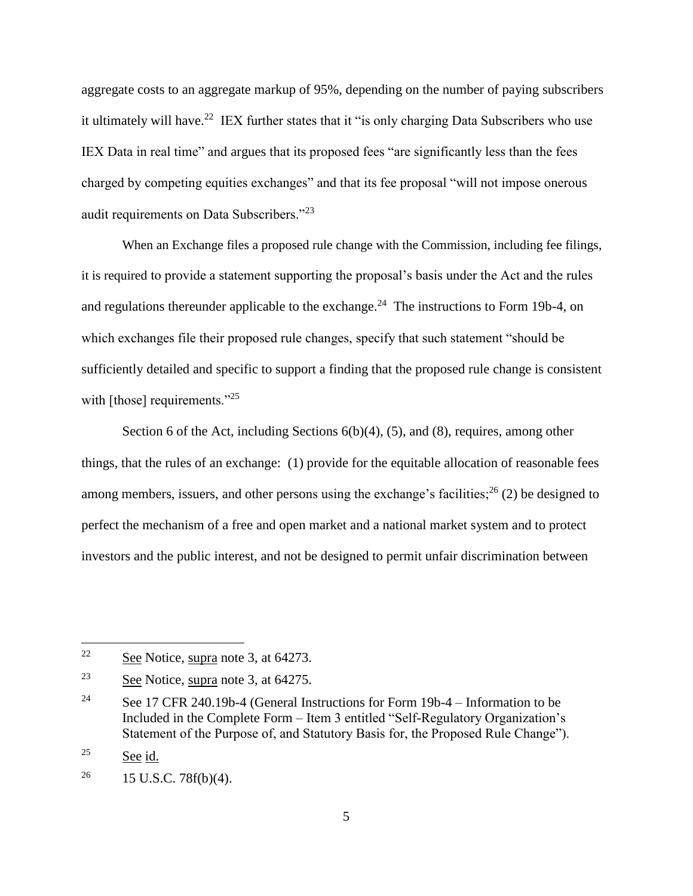aggregate costs to an aggregate markup of 95%, depending on the number of paying subscribers it ultimately will have.<sup>22</sup> IEX further states that it "is only charging Data Subscribers who use IEX Data in real time" and argues that its proposed fees "are significantly less than the fees charged by competing equities exchanges" and that its fee proposal "will not impose onerous audit requirements on Data Subscribers."<sup>23</sup>

When an Exchange files a proposed rule change with the Commission, including fee filings, it is required to provide a statement supporting the proposal's basis under the Act and the rules and regulations thereunder applicable to the exchange.<sup>24</sup> The instructions to Form 19b-4, on which exchanges file their proposed rule changes, specify that such statement "should be sufficiently detailed and specific to support a finding that the proposed rule change is consistent with [those] requirements."<sup>25</sup>

Section 6 of the Act, including Sections 6(b)(4), (5), and (8), requires, among other things, that the rules of an exchange: (1) provide for the equitable allocation of reasonable fees among members, issuers, and other persons using the exchange's facilities;  $^{26}$  (2) be designed to perfect the mechanism of a free and open market and a national market system and to protect investors and the public interest, and not be designed to permit unfair discrimination between

<sup>&</sup>lt;sup>22</sup> See Notice, supra note [3,](#page-0-0) at 64273.

<sup>23</sup> See Notice, supra note [3,](#page-0-0) at 64275.

<sup>&</sup>lt;sup>24</sup> See 17 CFR 240.19b-4 (General Instructions for Form 19b-4 – Information to be Included in the Complete Form – Item 3 entitled "Self-Regulatory Organization's Statement of the Purpose of, and Statutory Basis for, the Proposed Rule Change").

<sup>&</sup>lt;sup>25</sup> See id.

<sup>&</sup>lt;sup>26</sup> 15 U.S.C. 78 $f(b)(4)$ .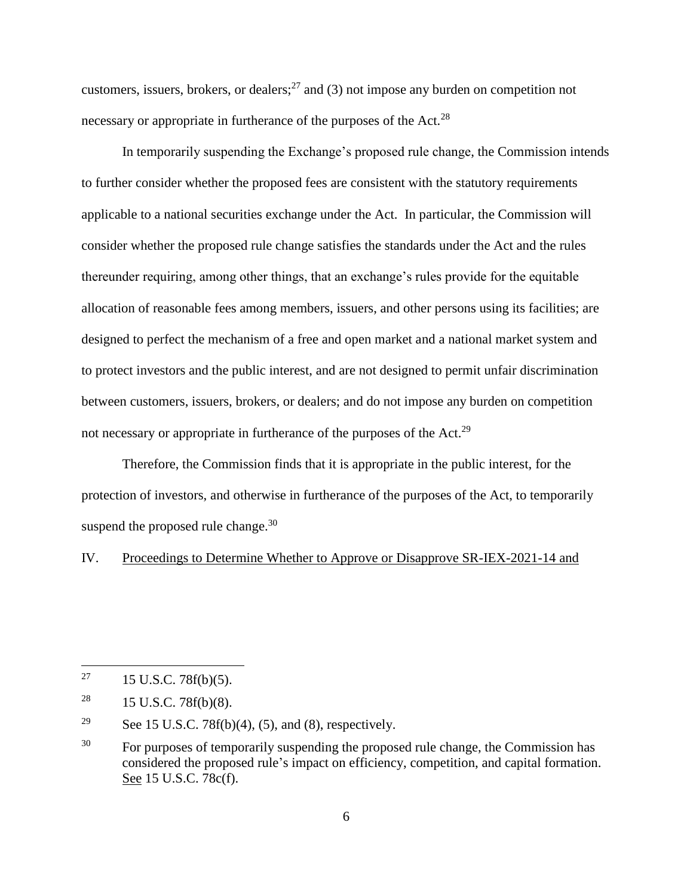customers, issuers, brokers, or dealers; $^{27}$  and (3) not impose any burden on competition not necessary or appropriate in furtherance of the purposes of the Act.<sup>28</sup>

In temporarily suspending the Exchange's proposed rule change, the Commission intends to further consider whether the proposed fees are consistent with the statutory requirements applicable to a national securities exchange under the Act. In particular, the Commission will consider whether the proposed rule change satisfies the standards under the Act and the rules thereunder requiring, among other things, that an exchange's rules provide for the equitable allocation of reasonable fees among members, issuers, and other persons using its facilities; are designed to perfect the mechanism of a free and open market and a national market system and to protect investors and the public interest, and are not designed to permit unfair discrimination between customers, issuers, brokers, or dealers; and do not impose any burden on competition not necessary or appropriate in furtherance of the purposes of the Act.<sup>29</sup>

Therefore, the Commission finds that it is appropriate in the public interest, for the protection of investors, and otherwise in furtherance of the purposes of the Act, to temporarily suspend the proposed rule change. $30$ 

IV. Proceedings to Determine Whether to Approve or Disapprove SR-IEX-2021-14 and

<sup>&</sup>lt;sup>27</sup> 15 U.S.C. 78 $f(b)(5)$ .

<sup>&</sup>lt;sup>28</sup> 15 U.S.C. 78 $f(b)(8)$ .

<sup>&</sup>lt;sup>29</sup> See 15 U.S.C. 78 $f(b)(4)$ , (5), and (8), respectively.

<sup>&</sup>lt;sup>30</sup> For purposes of temporarily suspending the proposed rule change, the Commission has considered the proposed rule's impact on efficiency, competition, and capital formation. See 15 U.S.C. 78c(f).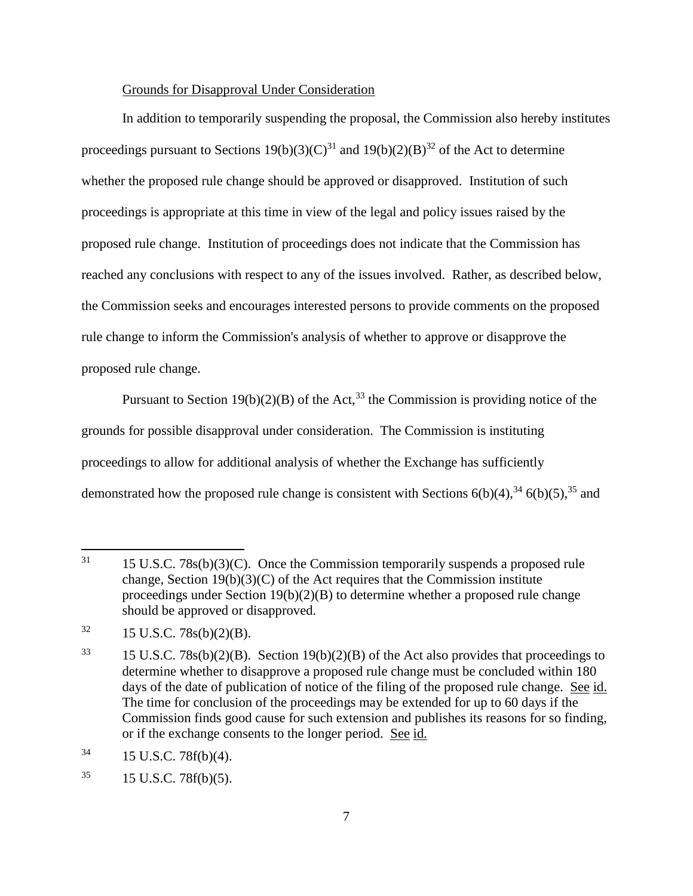### Grounds for Disapproval Under Consideration

In addition to temporarily suspending the proposal, the Commission also hereby institutes proceedings pursuant to Sections 19(b)(3)(C)<sup>31</sup> and 19(b)(2)(B)<sup>32</sup> of the Act to determine whether the proposed rule change should be approved or disapproved. Institution of such proceedings is appropriate at this time in view of the legal and policy issues raised by the proposed rule change. Institution of proceedings does not indicate that the Commission has reached any conclusions with respect to any of the issues involved. Rather, as described below, the Commission seeks and encourages interested persons to provide comments on the proposed rule change to inform the Commission's analysis of whether to approve or disapprove the proposed rule change.

Pursuant to Section 19(b)(2)(B) of the Act,<sup>33</sup> the Commission is providing notice of the grounds for possible disapproval under consideration. The Commission is instituting proceedings to allow for additional analysis of whether the Exchange has sufficiently demonstrated how the proposed rule change is consistent with Sections  $6(b)(4)$ ,  $34$   $6(b)(5)$ ,  $35$  and

 $31$  15 U.S.C. 78s(b)(3)(C). Once the Commission temporarily suspends a proposed rule change, Section  $19(b)(3)(C)$  of the Act requires that the Commission institute proceedings under Section 19(b)(2)(B) to determine whether a proposed rule change should be approved or disapproved.

 $32 \qquad 15 \text{ U.S.C. } 78\text{s(b)}(2)(\text{B}).$ 

<sup>&</sup>lt;sup>33</sup> 15 U.S.C. 78s(b)(2)(B). Section 19(b)(2)(B) of the Act also provides that proceedings to determine whether to disapprove a proposed rule change must be concluded within 180 days of the date of publication of notice of the filing of the proposed rule change. See id. The time for conclusion of the proceedings may be extended for up to 60 days if the Commission finds good cause for such extension and publishes its reasons for so finding, or if the exchange consents to the longer period. See id.

 $34$  15 U.S.C. 78f(b)(4).

 $35$  15 U.S.C. 78 $f(b)(5)$ .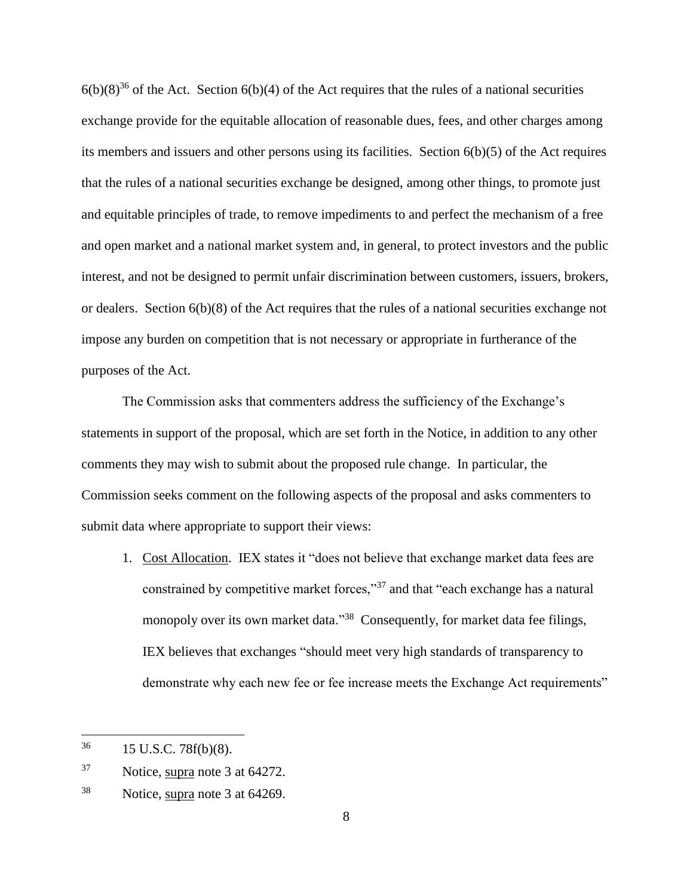$6(b)(8)^{36}$  of the Act. Section  $6(b)(4)$  of the Act requires that the rules of a national securities exchange provide for the equitable allocation of reasonable dues, fees, and other charges among its members and issuers and other persons using its facilities. Section 6(b)(5) of the Act requires that the rules of a national securities exchange be designed, among other things, to promote just and equitable principles of trade, to remove impediments to and perfect the mechanism of a free and open market and a national market system and, in general, to protect investors and the public interest, and not be designed to permit unfair discrimination between customers, issuers, brokers, or dealers. Section 6(b)(8) of the Act requires that the rules of a national securities exchange not impose any burden on competition that is not necessary or appropriate in furtherance of the purposes of the Act.

The Commission asks that commenters address the sufficiency of the Exchange's statements in support of the proposal, which are set forth in the Notice, in addition to any other comments they may wish to submit about the proposed rule change. In particular, the Commission seeks comment on the following aspects of the proposal and asks commenters to submit data where appropriate to support their views:

1. Cost Allocation. IEX states it "does not believe that exchange market data fees are constrained by competitive market forces,"<sup>37</sup> and that "each exchange has a natural monopoly over its own market data."<sup>38</sup> Consequently, for market data fee filings, IEX believes that exchanges "should meet very high standards of transparency to demonstrate why each new fee or fee increase meets the Exchange Act requirements"

<sup>36</sup> <sup>36</sup> 15 U.S.C. 78f(b)(8).

<sup>37</sup> Notice, supra note [3](#page-0-0) at 64272.

<sup>38</sup> Notice, supra note [3](#page-0-0) at 64269.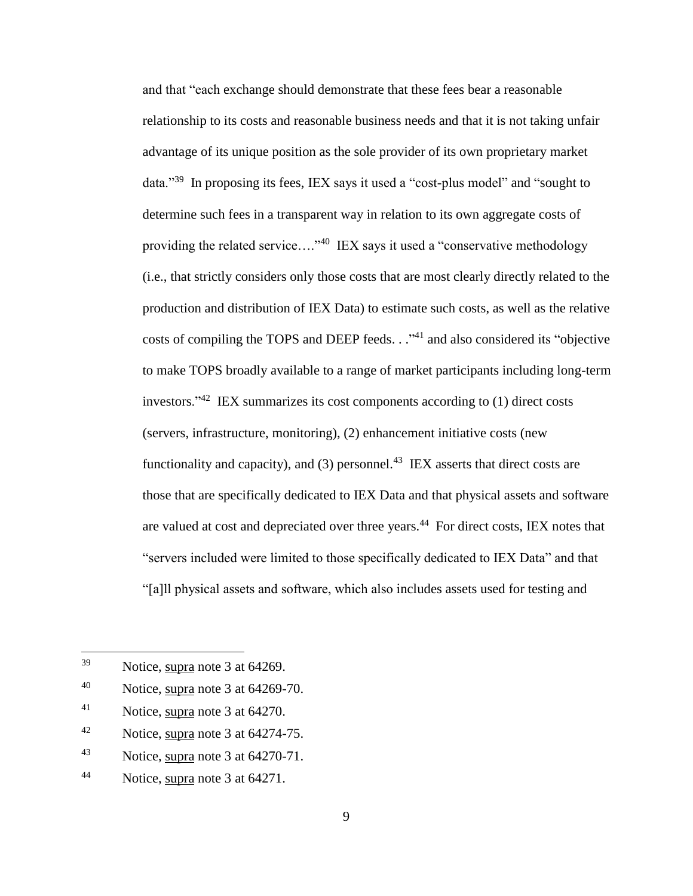and that "each exchange should demonstrate that these fees bear a reasonable relationship to its costs and reasonable business needs and that it is not taking unfair advantage of its unique position as the sole provider of its own proprietary market data."<sup>39</sup> In proposing its fees, IEX says it used a "cost-plus model" and "sought to determine such fees in a transparent way in relation to its own aggregate costs of providing the related service...."<sup>40</sup> IEX says it used a "conservative methodology (i.e., that strictly considers only those costs that are most clearly directly related to the production and distribution of IEX Data) to estimate such costs, as well as the relative costs of compiling the TOPS and DEEP feeds. . . "<sup>41</sup> and also considered its "objective to make TOPS broadly available to a range of market participants including long-term investors."<sup>42</sup> IEX summarizes its cost components according to (1) direct costs (servers, infrastructure, monitoring), (2) enhancement initiative costs (new functionality and capacity), and (3) personnel.<sup>43</sup> IEX asserts that direct costs are those that are specifically dedicated to IEX Data and that physical assets and software are valued at cost and depreciated over three years.<sup>44</sup> For direct costs, IEX notes that "servers included were limited to those specifically dedicated to IEX Data" and that "[a]ll physical assets and software, which also includes assets used for testing and

- $42$  Notice, supra note [3](#page-0-0) at 64274-75.
- <sup>43</sup> Notice, supra note [3](#page-0-0) at 64270-71.

<sup>39</sup> Notice, supra note [3](#page-0-0) at 64269.

 $^{40}$  Notice, supra note [3](#page-0-0) at 64269-70.

<sup>41</sup> Notice, supra note [3](#page-0-0) at 64270.

<sup>44</sup> Notice, supra note [3](#page-0-0) at 64271.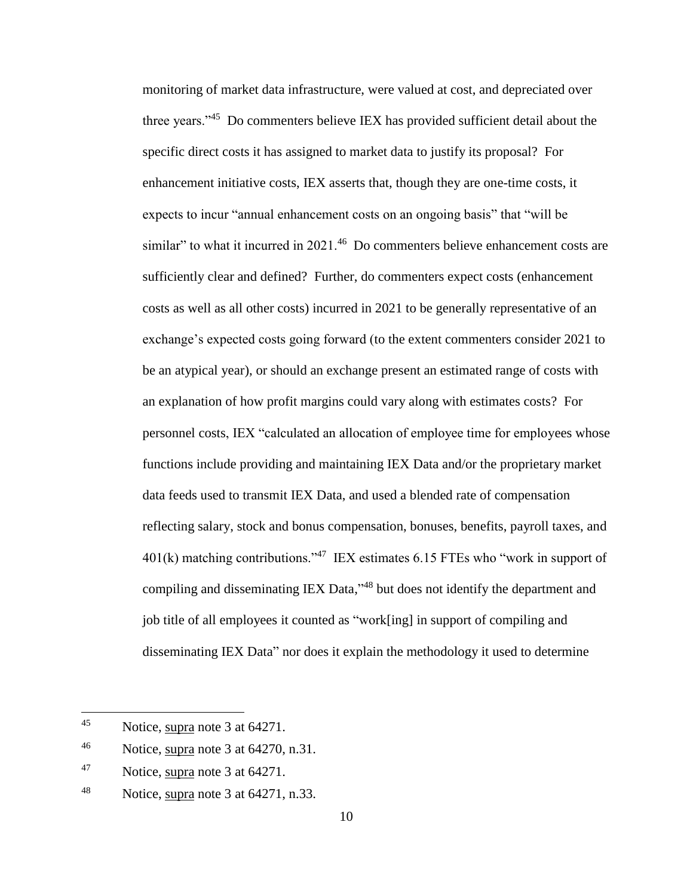monitoring of market data infrastructure, were valued at cost, and depreciated over three years."<sup>45</sup> Do commenters believe IEX has provided sufficient detail about the specific direct costs it has assigned to market data to justify its proposal? For enhancement initiative costs, IEX asserts that, though they are one-time costs, it expects to incur "annual enhancement costs on an ongoing basis" that "will be similar" to what it incurred in 2021.<sup>46</sup> Do commenters believe enhancement costs are sufficiently clear and defined? Further, do commenters expect costs (enhancement costs as well as all other costs) incurred in 2021 to be generally representative of an exchange's expected costs going forward (to the extent commenters consider 2021 to be an atypical year), or should an exchange present an estimated range of costs with an explanation of how profit margins could vary along with estimates costs? For personnel costs, IEX "calculated an allocation of employee time for employees whose functions include providing and maintaining IEX Data and/or the proprietary market data feeds used to transmit IEX Data, and used a blended rate of compensation reflecting salary, stock and bonus compensation, bonuses, benefits, payroll taxes, and  $401(k)$  matching contributions."<sup>47</sup> IEX estimates 6.15 FTEs who "work in support of compiling and disseminating IEX Data,"<sup>48</sup> but does not identify the department and job title of all employees it counted as "work[ing] in support of compiling and disseminating IEX Data" nor does it explain the methodology it used to determine

<sup>45</sup> Notice, supra note [3](#page-0-0) at 64271.

<sup>&</sup>lt;sup>46</sup> Notice, supra note [3](#page-0-0) at  $64270$ , n.31.

<sup>47</sup> Notice, supra note [3](#page-0-0) at 64271.

<sup>48</sup> Notice, supra note [3](#page-0-0) at 64271, n.33.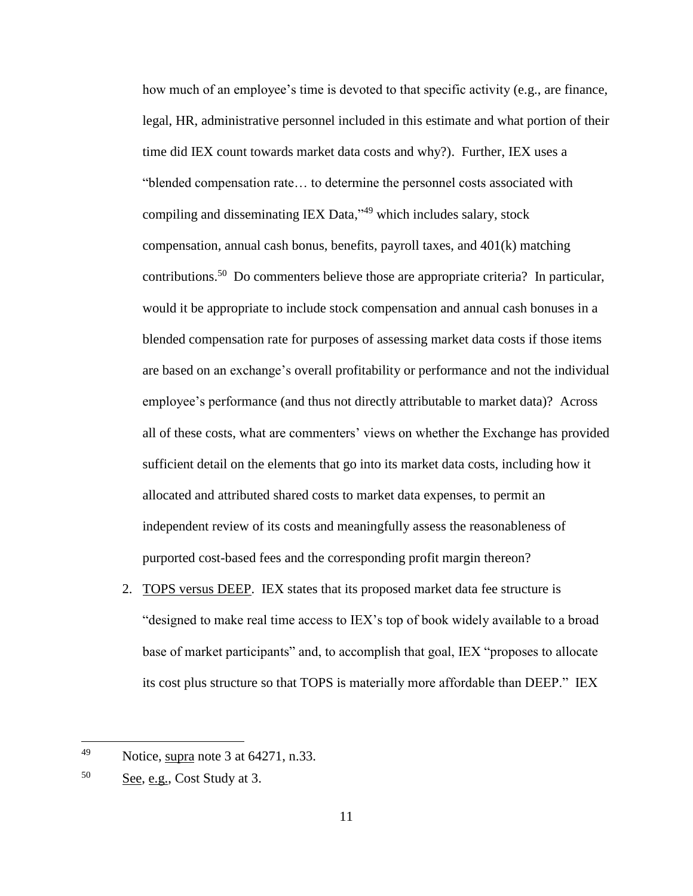how much of an employee's time is devoted to that specific activity (e.g., are finance, legal, HR, administrative personnel included in this estimate and what portion of their time did IEX count towards market data costs and why?). Further, IEX uses a "blended compensation rate… to determine the personnel costs associated with compiling and disseminating IEX Data,"<sup>49</sup> which includes salary, stock compensation, annual cash bonus, benefits, payroll taxes, and 401(k) matching contributions.<sup>50</sup> Do commenters believe those are appropriate criteria? In particular, would it be appropriate to include stock compensation and annual cash bonuses in a blended compensation rate for purposes of assessing market data costs if those items are based on an exchange's overall profitability or performance and not the individual employee's performance (and thus not directly attributable to market data)? Across all of these costs, what are commenters' views on whether the Exchange has provided sufficient detail on the elements that go into its market data costs, including how it allocated and attributed shared costs to market data expenses, to permit an independent review of its costs and meaningfully assess the reasonableness of purported cost-based fees and the corresponding profit margin thereon?

2. TOPS versus DEEP. IEX states that its proposed market data fee structure is "designed to make real time access to IEX's top of book widely available to a broad base of market participants" and, to accomplish that goal, IEX "proposes to allocate its cost plus structure so that TOPS is materially more affordable than DEEP." IEX

<sup>&</sup>lt;sup>49</sup> Notice, supra note [3](#page-0-0) at  $64271$ , n.33.

<sup>50</sup> See, e.g., Cost Study at 3.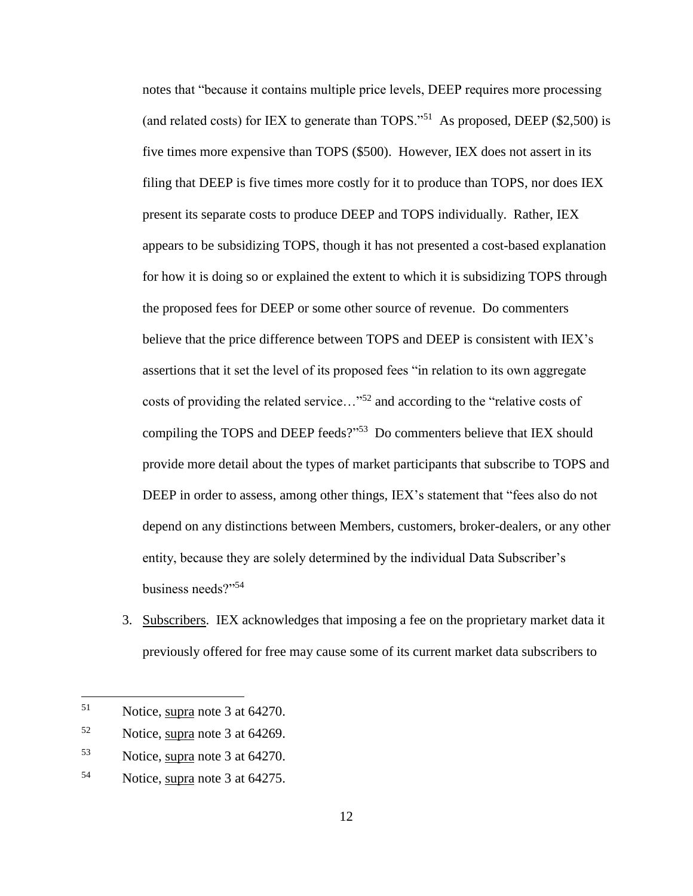notes that "because it contains multiple price levels, DEEP requires more processing (and related costs) for IEX to generate than TOPS."<sup>51</sup> As proposed, DEEP  $(\$2,500)$  is five times more expensive than TOPS (\$500). However, IEX does not assert in its filing that DEEP is five times more costly for it to produce than TOPS, nor does IEX present its separate costs to produce DEEP and TOPS individually. Rather, IEX appears to be subsidizing TOPS, though it has not presented a cost-based explanation for how it is doing so or explained the extent to which it is subsidizing TOPS through the proposed fees for DEEP or some other source of revenue. Do commenters believe that the price difference between TOPS and DEEP is consistent with IEX's assertions that it set the level of its proposed fees "in relation to its own aggregate costs of providing the related service..."<sup>52</sup> and according to the "relative costs of compiling the TOPS and DEEP feeds?"<sup>53</sup> Do commenters believe that IEX should provide more detail about the types of market participants that subscribe to TOPS and DEEP in order to assess, among other things, IEX's statement that "fees also do not depend on any distinctions between Members, customers, broker-dealers, or any other entity, because they are solely determined by the individual Data Subscriber's business needs?"<sup>54</sup>

3. Subscribers. IEX acknowledges that imposing a fee on the proprietary market data it previously offered for free may cause some of its current market data subscribers to

<sup>51</sup> Notice, supra note [3](#page-0-0) at 64270.

<sup>52</sup> Notice, supra note [3](#page-0-0) at 64269.

<sup>53</sup> Notice, supra note [3](#page-0-0) at 64270.

<sup>54</sup> Notice, supra note [3](#page-0-0) at 64275.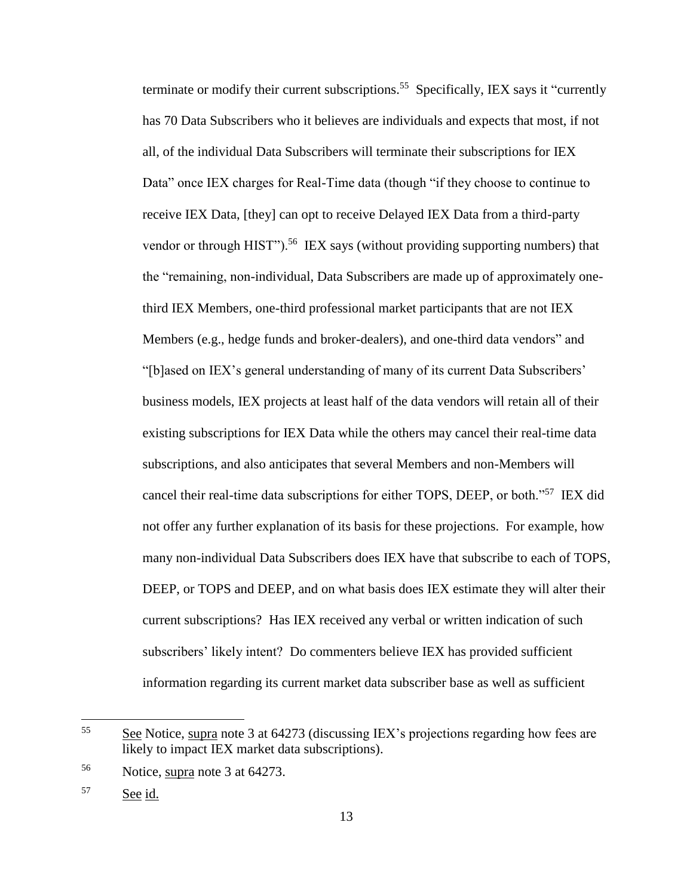terminate or modify their current subscriptions.<sup>55</sup> Specifically, IEX says it "currently has 70 Data Subscribers who it believes are individuals and expects that most, if not all, of the individual Data Subscribers will terminate their subscriptions for IEX Data" once IEX charges for Real-Time data (though "if they choose to continue to receive IEX Data, [they] can opt to receive Delayed IEX Data from a third-party vendor or through HIST").<sup>56</sup> IEX says (without providing supporting numbers) that the "remaining, non-individual, Data Subscribers are made up of approximately onethird IEX Members, one-third professional market participants that are not IEX Members (e.g., hedge funds and broker-dealers), and one-third data vendors" and "[b]ased on IEX's general understanding of many of its current Data Subscribers' business models, IEX projects at least half of the data vendors will retain all of their existing subscriptions for IEX Data while the others may cancel their real-time data subscriptions, and also anticipates that several Members and non-Members will cancel their real-time data subscriptions for either TOPS, DEEP, or both."<sup>57</sup> IEX did not offer any further explanation of its basis for these projections. For example, how many non-individual Data Subscribers does IEX have that subscribe to each of TOPS, DEEP, or TOPS and DEEP, and on what basis does IEX estimate they will alter their current subscriptions? Has IEX received any verbal or written indication of such subscribers' likely intent? Do commenters believe IEX has provided sufficient information regarding its current market data subscriber base as well as sufficient

 $\frac{55}{25}$  See Notice, supra note [3](#page-0-0) at 64273 (discussing IEX's projections regarding how fees are likely to impact IEX market data subscriptions).

<sup>56</sup> Notice, supra note [3](#page-0-0) at 64273.

<sup>57</sup> See id.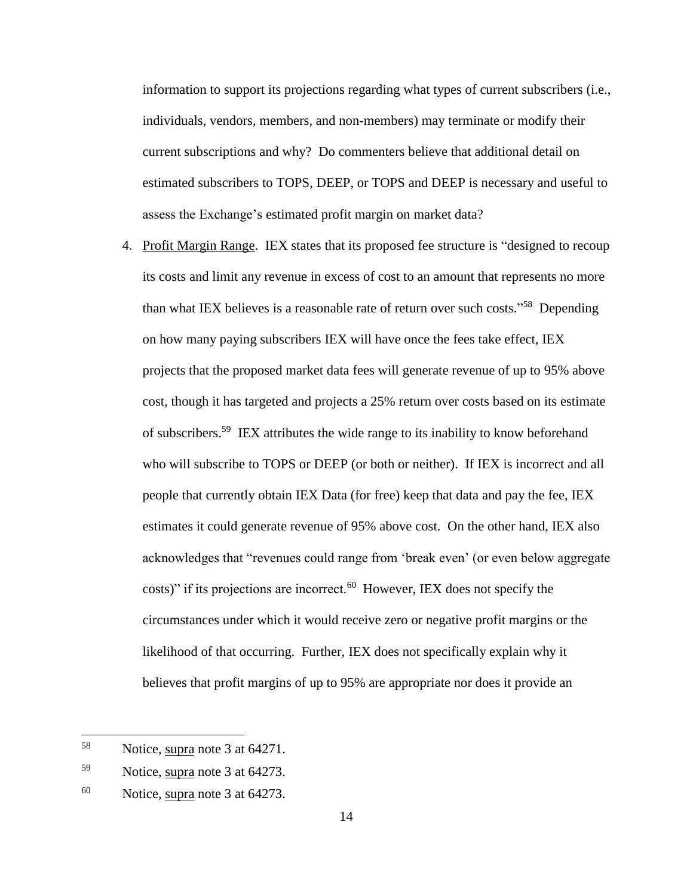information to support its projections regarding what types of current subscribers (i.e., individuals, vendors, members, and non-members) may terminate or modify their current subscriptions and why? Do commenters believe that additional detail on estimated subscribers to TOPS, DEEP, or TOPS and DEEP is necessary and useful to assess the Exchange's estimated profit margin on market data?

4. Profit Margin Range. IEX states that its proposed fee structure is "designed to recoup its costs and limit any revenue in excess of cost to an amount that represents no more than what IEX believes is a reasonable rate of return over such costs."<sup>58</sup> Depending on how many paying subscribers IEX will have once the fees take effect, IEX projects that the proposed market data fees will generate revenue of up to 95% above cost, though it has targeted and projects a 25% return over costs based on its estimate of subscribers. 59 IEX attributes the wide range to its inability to know beforehand who will subscribe to TOPS or DEEP (or both or neither). If IEX is incorrect and all people that currently obtain IEX Data (for free) keep that data and pay the fee, IEX estimates it could generate revenue of 95% above cost. On the other hand, IEX also acknowledges that "revenues could range from 'break even' (or even below aggregate costs)" if its projections are incorrect. $60$  However, IEX does not specify the circumstances under which it would receive zero or negative profit margins or the likelihood of that occurring. Further, IEX does not specifically explain why it believes that profit margins of up to 95% are appropriate nor does it provide an

<sup>58</sup> Notice, supra note [3](#page-0-0) at 64271.

<sup>59</sup> Notice, supra note [3](#page-0-0) at 64273.

 $60$  Notice, supra note 3 at 64273.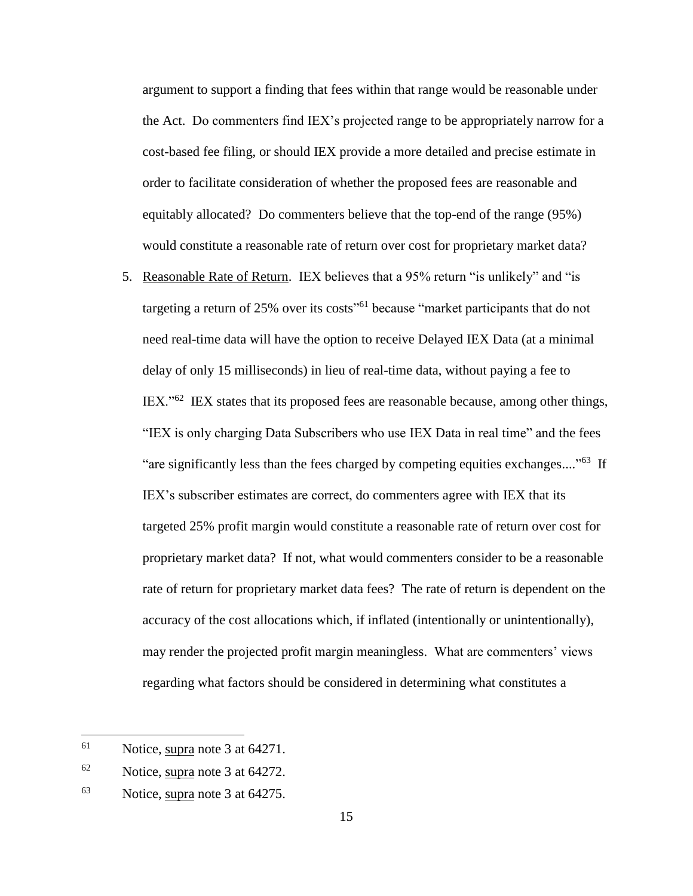argument to support a finding that fees within that range would be reasonable under the Act. Do commenters find IEX's projected range to be appropriately narrow for a cost-based fee filing, or should IEX provide a more detailed and precise estimate in order to facilitate consideration of whether the proposed fees are reasonable and equitably allocated? Do commenters believe that the top-end of the range (95%) would constitute a reasonable rate of return over cost for proprietary market data?

5. Reasonable Rate of Return. IEX believes that a 95% return "is unlikely" and "is targeting a return of 25% over its costs<sup>"61</sup> because "market participants that do not need real-time data will have the option to receive Delayed IEX Data (at a minimal delay of only 15 milliseconds) in lieu of real-time data, without paying a fee to IEX."<sup>62</sup> IEX states that its proposed fees are reasonable because, among other things, "IEX is only charging Data Subscribers who use IEX Data in real time" and the fees "are significantly less than the fees charged by competing equities exchanges...."<sup>63</sup> If IEX's subscriber estimates are correct, do commenters agree with IEX that its targeted 25% profit margin would constitute a reasonable rate of return over cost for proprietary market data? If not, what would commenters consider to be a reasonable rate of return for proprietary market data fees? The rate of return is dependent on the accuracy of the cost allocations which, if inflated (intentionally or unintentionally), may render the projected profit margin meaningless. What are commenters' views regarding what factors should be considered in determining what constitutes a

<sup>61</sup> Notice, supra note [3](#page-0-0) at 64271.

<sup>62</sup> Notice, supra note [3](#page-0-0) at 64272.

<sup>63</sup> Notice, supra note [3](#page-0-0) at 64275.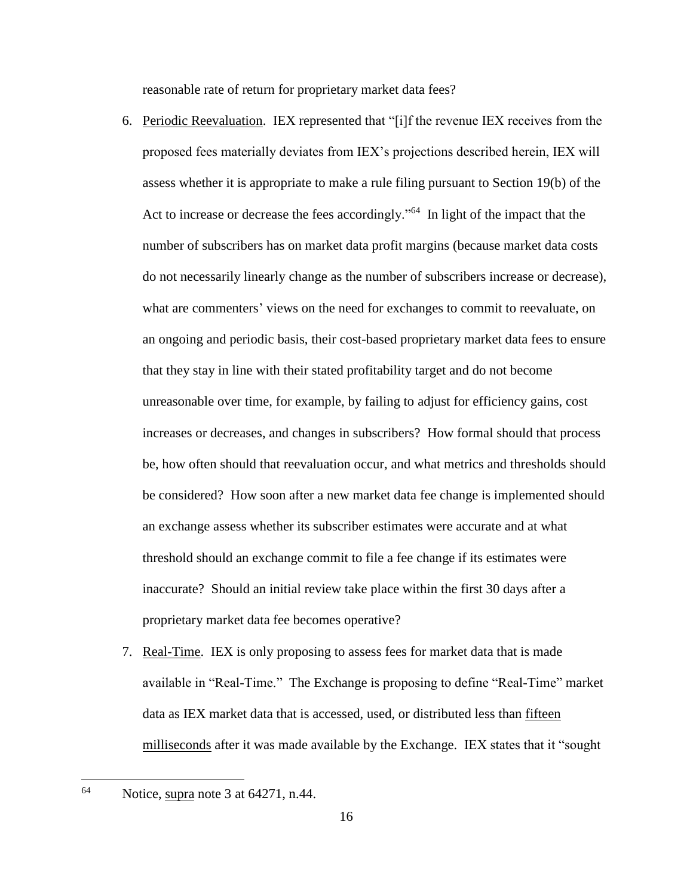reasonable rate of return for proprietary market data fees?

- 6. Periodic Reevaluation. IEX represented that "[i]f the revenue IEX receives from the proposed fees materially deviates from IEX's projections described herein, IEX will assess whether it is appropriate to make a rule filing pursuant to Section 19(b) of the Act to increase or decrease the fees accordingly."<sup>64</sup> In light of the impact that the number of subscribers has on market data profit margins (because market data costs do not necessarily linearly change as the number of subscribers increase or decrease), what are commenters' views on the need for exchanges to commit to reevaluate, on an ongoing and periodic basis, their cost-based proprietary market data fees to ensure that they stay in line with their stated profitability target and do not become unreasonable over time, for example, by failing to adjust for efficiency gains, cost increases or decreases, and changes in subscribers? How formal should that process be, how often should that reevaluation occur, and what metrics and thresholds should be considered? How soon after a new market data fee change is implemented should an exchange assess whether its subscriber estimates were accurate and at what threshold should an exchange commit to file a fee change if its estimates were inaccurate? Should an initial review take place within the first 30 days after a proprietary market data fee becomes operative?
- 7. Real-Time. IEX is only proposing to assess fees for market data that is made available in "Real-Time." The Exchange is proposing to define "Real-Time" market data as IEX market data that is accessed, used, or distributed less than fifteen milliseconds after it was made available by the Exchange. IEX states that it "sought

 $^{64}$  Notice, supra note [3](#page-0-0) at 64271, n.44.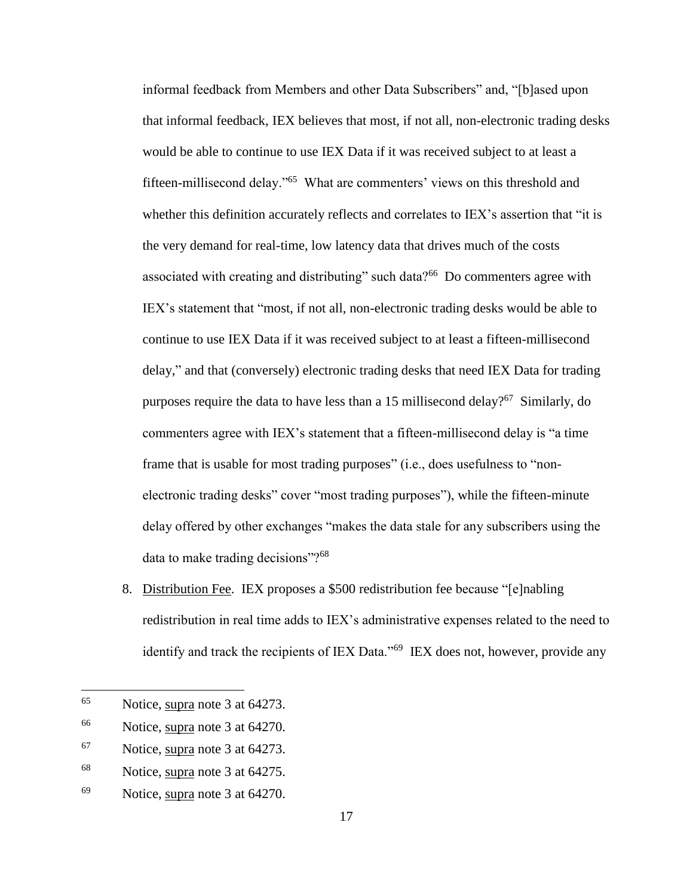informal feedback from Members and other Data Subscribers" and, "[b]ased upon that informal feedback, IEX believes that most, if not all, non-electronic trading desks would be able to continue to use IEX Data if it was received subject to at least a fifteen-millisecond delay."<sup>65</sup> What are commenters' views on this threshold and whether this definition accurately reflects and correlates to IEX's assertion that "it is the very demand for real-time, low latency data that drives much of the costs associated with creating and distributing" such data?<sup>66</sup> Do commenters agree with IEX's statement that "most, if not all, non-electronic trading desks would be able to continue to use IEX Data if it was received subject to at least a fifteen-millisecond delay," and that (conversely) electronic trading desks that need IEX Data for trading purposes require the data to have less than a 15 millisecond delay?<sup>67</sup> Similarly, do commenters agree with IEX's statement that a fifteen-millisecond delay is "a time frame that is usable for most trading purposes" (i.e., does usefulness to "nonelectronic trading desks" cover "most trading purposes"), while the fifteen-minute delay offered by other exchanges "makes the data stale for any subscribers using the data to make trading decisions"?<sup>68</sup>

8. Distribution Fee. IEX proposes a \$500 redistribution fee because "[e]nabling redistribution in real time adds to IEX's administrative expenses related to the need to identify and track the recipients of IEX Data."<sup>69</sup> IEX does not, however, provide any

<sup>65</sup> Notice, supra note [3](#page-0-0) at 64273.

<sup>66</sup> Notice, supra note [3](#page-0-0) at 64270.

<sup>67</sup> Notice, supra note [3](#page-0-0) at 64273.

<sup>68</sup> Notice, supra note [3](#page-0-0) at 64275.

<sup>69</sup> Notice, supra note [3](#page-0-0) at 64270.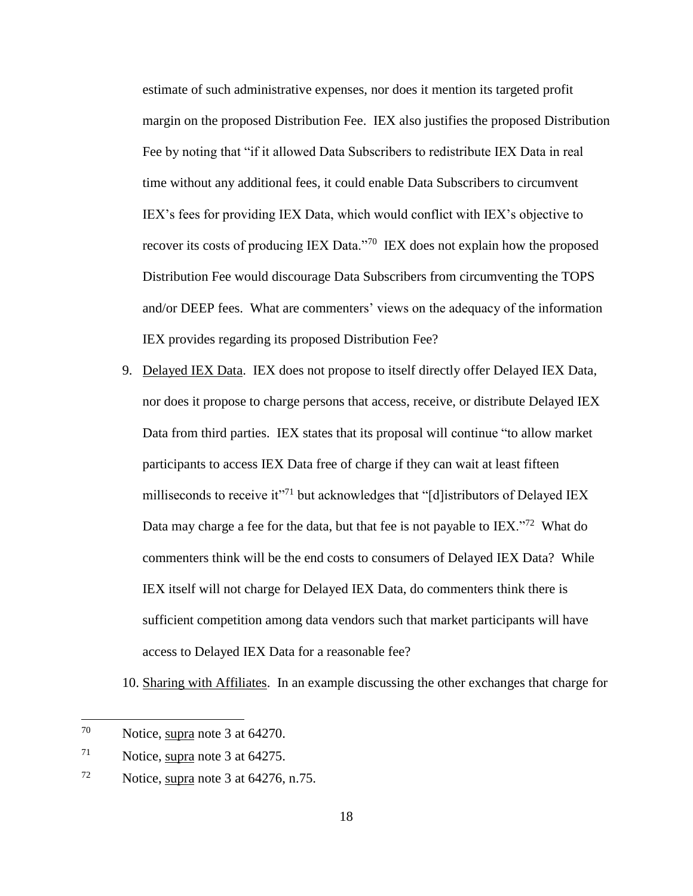estimate of such administrative expenses, nor does it mention its targeted profit margin on the proposed Distribution Fee. IEX also justifies the proposed Distribution Fee by noting that "if it allowed Data Subscribers to redistribute IEX Data in real time without any additional fees, it could enable Data Subscribers to circumvent IEX's fees for providing IEX Data, which would conflict with IEX's objective to recover its costs of producing IEX Data."<sup>70</sup> IEX does not explain how the proposed Distribution Fee would discourage Data Subscribers from circumventing the TOPS and/or DEEP fees. What are commenters' views on the adequacy of the information IEX provides regarding its proposed Distribution Fee?

9. Delayed IEX Data. IEX does not propose to itself directly offer Delayed IEX Data, nor does it propose to charge persons that access, receive, or distribute Delayed IEX Data from third parties. IEX states that its proposal will continue "to allow market participants to access IEX Data free of charge if they can wait at least fifteen milliseconds to receive it"<sup>71</sup> but acknowledges that "[d]istributors of Delayed IEX Data may charge a fee for the data, but that fee is not payable to  $IEX.^{372}$  What do commenters think will be the end costs to consumers of Delayed IEX Data? While IEX itself will not charge for Delayed IEX Data, do commenters think there is sufficient competition among data vendors such that market participants will have access to Delayed IEX Data for a reasonable fee?

10. Sharing with Affiliates. In an example discussing the other exchanges that charge for

<sup>70</sup> Notice, supra note [3](#page-0-0) at 64270.

 $71$  Notice, supra note [3](#page-0-0) at 64275.

 $72$  Notice, supra note [3](#page-0-0) at 64276, n.75.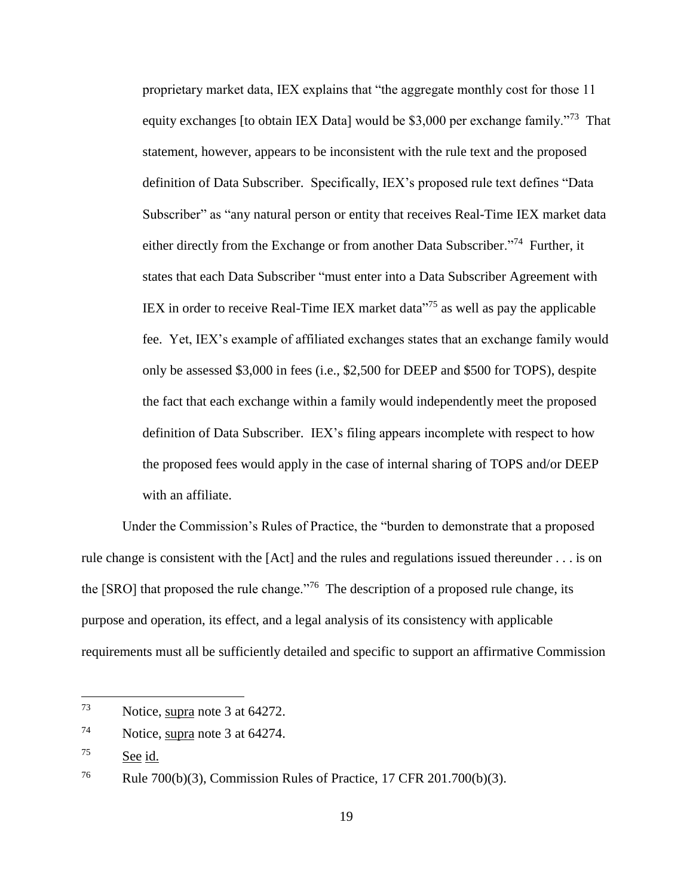proprietary market data, IEX explains that "the aggregate monthly cost for those 11 equity exchanges [to obtain IEX Data] would be \$3,000 per exchange family."<sup>73</sup> That statement, however, appears to be inconsistent with the rule text and the proposed definition of Data Subscriber. Specifically, IEX's proposed rule text defines "Data Subscriber" as "any natural person or entity that receives Real-Time IEX market data either directly from the Exchange or from another Data Subscriber."<sup>74</sup> Further, it states that each Data Subscriber "must enter into a Data Subscriber Agreement with IEX in order to receive Real-Time IEX market data $175$  as well as pay the applicable fee. Yet, IEX's example of affiliated exchanges states that an exchange family would only be assessed \$3,000 in fees (i.e., \$2,500 for DEEP and \$500 for TOPS), despite the fact that each exchange within a family would independently meet the proposed definition of Data Subscriber. IEX's filing appears incomplete with respect to how the proposed fees would apply in the case of internal sharing of TOPS and/or DEEP with an affiliate.

Under the Commission's Rules of Practice, the "burden to demonstrate that a proposed rule change is consistent with the [Act] and the rules and regulations issued thereunder . . . is on the [SRO] that proposed the rule change. $176$  The description of a proposed rule change, its purpose and operation, its effect, and a legal analysis of its consistency with applicable requirements must all be sufficiently detailed and specific to support an affirmative Commission

<sup>73</sup> Notice, supra note [3](#page-0-0) at 64272.

<sup>74</sup> Notice, supra note [3](#page-0-0) at 64274.

<sup>75</sup> See id.

<sup>&</sup>lt;sup>76</sup> Rule 700(b)(3), Commission Rules of Practice, 17 CFR 201.700(b)(3).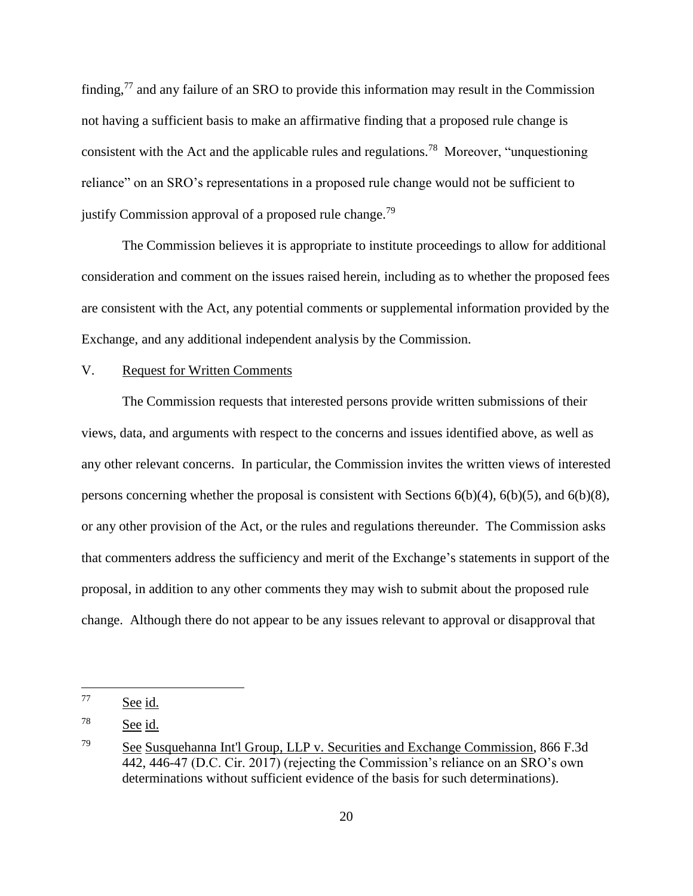finding,<sup>77</sup> and any failure of an SRO to provide this information may result in the Commission not having a sufficient basis to make an affirmative finding that a proposed rule change is consistent with the Act and the applicable rules and regulations.<sup>78</sup> Moreover, "unquestioning reliance" on an SRO's representations in a proposed rule change would not be sufficient to justify Commission approval of a proposed rule change.<sup>79</sup>

The Commission believes it is appropriate to institute proceedings to allow for additional consideration and comment on the issues raised herein, including as to whether the proposed fees are consistent with the Act, any potential comments or supplemental information provided by the Exchange, and any additional independent analysis by the Commission.

#### V. Request for Written Comments

The Commission requests that interested persons provide written submissions of their views, data, and arguments with respect to the concerns and issues identified above, as well as any other relevant concerns. In particular, the Commission invites the written views of interested persons concerning whether the proposal is consistent with Sections 6(b)(4), 6(b)(5), and 6(b)(8), or any other provision of the Act, or the rules and regulations thereunder. The Commission asks that commenters address the sufficiency and merit of the Exchange's statements in support of the proposal, in addition to any other comments they may wish to submit about the proposed rule change. Although there do not appear to be any issues relevant to approval or disapproval that

<sup>77</sup> See id.

<sup>78</sup> See id.

<sup>79</sup> See Susquehanna Int'l Group, LLP v. Securities and Exchange Commission, 866 F.3d 442, 446-47 (D.C. Cir. 2017) (rejecting the Commission's reliance on an SRO's own determinations without sufficient evidence of the basis for such determinations).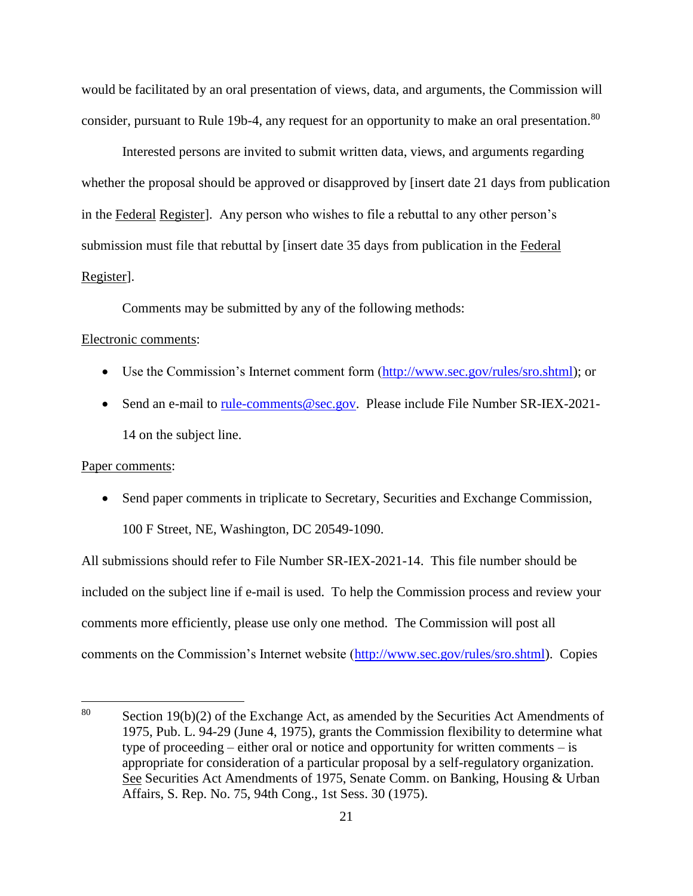would be facilitated by an oral presentation of views, data, and arguments, the Commission will consider, pursuant to Rule 19b-4, any request for an opportunity to make an oral presentation.<sup>80</sup>

Interested persons are invited to submit written data, views, and arguments regarding whether the proposal should be approved or disapproved by [insert date 21 days from publication in the Federal Register]. Any person who wishes to file a rebuttal to any other person's submission must file that rebuttal by [insert date 35 days from publication in the Federal Register].

Comments may be submitted by any of the following methods:

#### Electronic comments:

- Use the Commission's Internet comment form [\(http://www.sec.gov/rules/sro.shtml\)](http://www.sec.gov/rules/sro.shtml); or
- Send an e-mail to [rule-comments@sec.gov.](mailto:rule-comments@sec.gov) Please include File Number SR-IEX-2021-14 on the subject line.

#### Paper comments:

 $\overline{a}$ 

 Send paper comments in triplicate to Secretary, Securities and Exchange Commission, 100 F Street, NE, Washington, DC 20549-1090.

All submissions should refer to File Number SR-IEX-2021-14. This file number should be included on the subject line if e-mail is used. To help the Commission process and review your comments more efficiently, please use only one method. The Commission will post all comments on the Commission's Internet website [\(http://www.sec.gov/rules/sro.shtml\)](http://www.sec.gov/rules/sro.shtml). Copies

<sup>&</sup>lt;sup>80</sup> Section 19(b)(2) of the Exchange Act, as amended by the Securities Act Amendments of 1975, Pub. L. 94-29 (June 4, 1975), grants the Commission flexibility to determine what type of proceeding – either oral or notice and opportunity for written comments – is appropriate for consideration of a particular proposal by a self-regulatory organization. See Securities Act Amendments of 1975, Senate Comm. on Banking, Housing & Urban Affairs, S. Rep. No. 75, 94th Cong., 1st Sess. 30 (1975).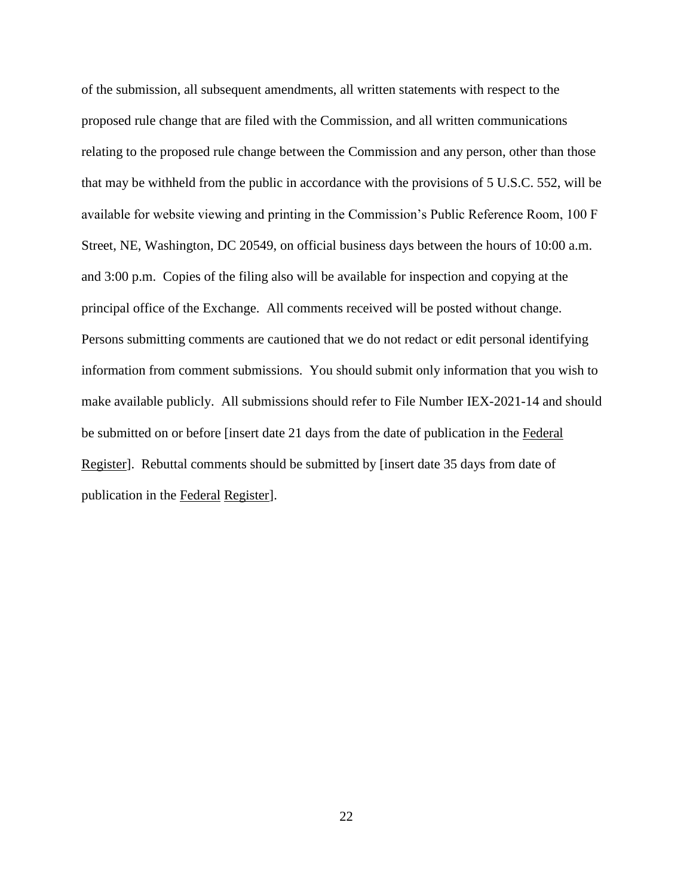of the submission, all subsequent amendments, all written statements with respect to the proposed rule change that are filed with the Commission, and all written communications relating to the proposed rule change between the Commission and any person, other than those that may be withheld from the public in accordance with the provisions of 5 U.S.C. 552, will be available for website viewing and printing in the Commission's Public Reference Room, 100 F Street, NE, Washington, DC 20549, on official business days between the hours of 10:00 a.m. and 3:00 p.m. Copies of the filing also will be available for inspection and copying at the principal office of the Exchange. All comments received will be posted without change. Persons submitting comments are cautioned that we do not redact or edit personal identifying information from comment submissions. You should submit only information that you wish to make available publicly. All submissions should refer to File Number IEX-2021-14 and should be submitted on or before [insert date 21 days from the date of publication in the Federal Register]. Rebuttal comments should be submitted by [insert date 35 days from date of publication in the Federal Register].